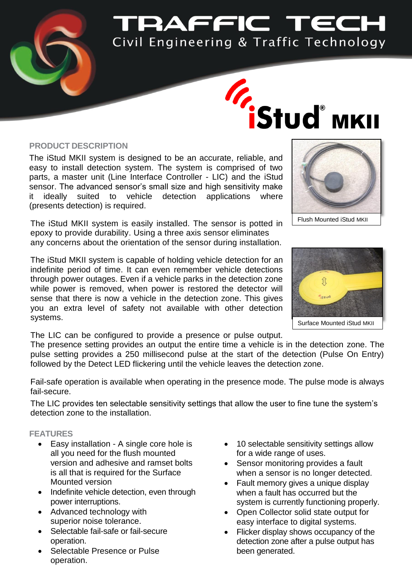

# **PAFFIC TECH** Civil Engineering & Traffic Technology

# **Transformation Structures**

### **PRODUCT DESCRIPTION**

The iStud MKII system is designed to be an accurate, reliable, and easy to install detection system. The system is comprised of two parts, a master unit (Line Interface Controller - LIC) and the iStud sensor. The advanced sensor's small size and high sensitivity make it ideally suited to vehicle detection applications where (presents detection) is required.

The iStud MKII system is easily installed. The sensor is potted in epoxy to provide durability. Using a three axis sensor eliminates any concerns about the orientation of the sensor during installation.

The iStud MKII system is capable of holding vehicle detection for an indefinite period of time. It can even remember vehicle detections through power outages. Even if a vehicle parks in the detection zone while power is removed, when power is restored the detector will sense that there is now a vehicle in the detection zone. This gives you an extra level of safety not available with other detection systems.

The LIC can be configured to provide a presence or pulse output.

The presence setting provides an output the entire time a vehicle is in the detection zone. The pulse setting provides a 250 millisecond pulse at the start of the detection (Pulse On Entry) followed by the Detect LED flickering until the vehicle leaves the detection zone.

Fail-safe operation is available when operating in the presence mode. The pulse mode is always fail-secure.

The LIC provides ten selectable sensitivity settings that allow the user to fine tune the system's detection zone to the installation.

## **FEATURES**

- Easy installation A single core hole is all you need for the flush mounted version and adhesive and ramset bolts is all that is required for the Surface Mounted version
- Indefinite vehicle detection, even through power interruptions.
- Advanced technology with superior noise tolerance.
- Selectable fail-safe or fail-secure operation.
- Selectable Presence or Pulse operation.
- 10 selectable sensitivity settings allow for a wide range of uses.
- Sensor monitoring provides a fault when a sensor is no longer detected.
- Fault memory gives a unique display when a fault has occurred but the system is currently functioning properly.
- Open Collector solid state output for easy interface to digital systems.
- Flicker display shows occupancy of the detection zone after a pulse output has been generated.





Surface Mounted iStud MKII